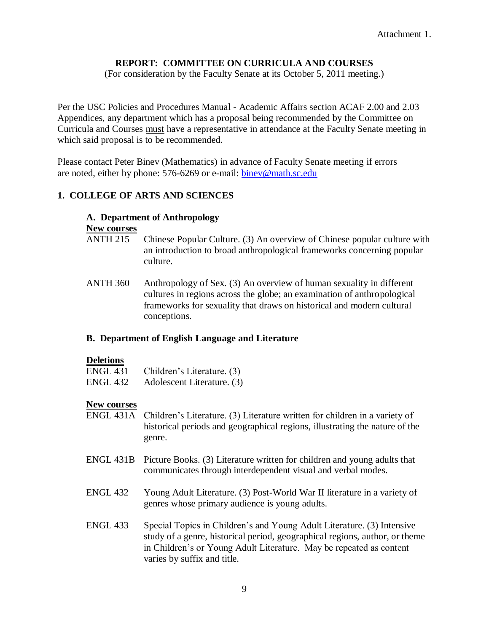# **REPORT: COMMITTEE ON CURRICULA AND COURSES**

(For consideration by the Faculty Senate at its October 5, 2011 meeting.)

Per the USC Policies and Procedures Manual - Academic Affairs section ACAF 2.00 and 2.03 Appendices, any department which has a proposal being recommended by the Committee on Curricula and Courses must have a representative in attendance at the Faculty Senate meeting in which said proposal is to be recommended.

Please contact Peter Binev (Mathematics) in advance of Faculty Senate meeting if errors are noted, either by phone: 576-6269 or e-mail: [binev@math.sc.edu](mailto:binev@math.sc.edu)

# **1. COLLEGE OF ARTS AND SCIENCES**

#### **A. Department of Anthropology**

#### **New courses**

- ANTH 215 Chinese Popular Culture. (3) An overview of Chinese popular culture with an introduction to broad anthropological frameworks concerning popular culture.
- ANTH 360 Anthropology of Sex. (3) An overview of human sexuality in different cultures in regions across the globe; an examination of anthropological frameworks for sexuality that draws on historical and modern cultural conceptions.

# **B. Department of English Language and Literature**

#### **Deletions**

| <b>ENGL 431</b> | Children's Literature. (3) |
|-----------------|----------------------------|
| ENGL 432        | Adolescent Literature. (3) |

#### **New courses**

- ENGL 431A Children's Literature. (3) Literature written for children in a variety of historical periods and geographical regions, illustrating the nature of the genre.
- ENGL 431B Picture Books. (3) Literature written for children and young adults that communicates through interdependent visual and verbal modes.
- ENGL 432 Young Adult Literature. (3) Post-World War II literature in a variety of genres whose primary audience is young adults.
- ENGL 433 Special Topics in Children's and Young Adult Literature. (3) Intensive study of a genre, historical period, geographical regions, author, or theme in Children's or Young Adult Literature. May be repeated as content varies by suffix and title.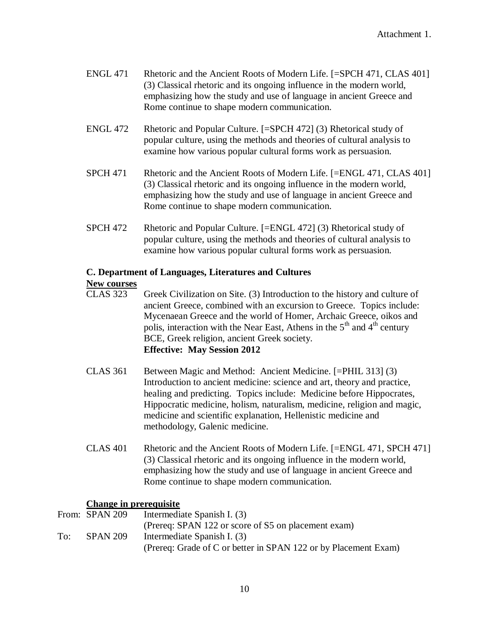- ENGL 471 Rhetoric and the Ancient Roots of Modern Life. [=SPCH 471, CLAS 401] (3) Classical rhetoric and its ongoing influence in the modern world, emphasizing how the study and use of language in ancient Greece and Rome continue to shape modern communication.
- ENGL 472 Rhetoric and Popular Culture. [=SPCH 472] (3) Rhetorical study of popular culture, using the methods and theories of cultural analysis to examine how various popular cultural forms work as persuasion.
- SPCH 471 Rhetoric and the Ancient Roots of Modern Life. [=ENGL 471, CLAS 401] (3) Classical rhetoric and its ongoing influence in the modern world, emphasizing how the study and use of language in ancient Greece and Rome continue to shape modern communication.
- SPCH 472 Rhetoric and Popular Culture. [=ENGL 472] (3) Rhetorical study of popular culture, using the methods and theories of cultural analysis to examine how various popular cultural forms work as persuasion.

# **C. Department of Languages, Literatures and Cultures**

# **New courses**

- CLAS 323 Greek Civilization on Site. (3) Introduction to the history and culture of ancient Greece, combined with an excursion to Greece. Topics include: Mycenaean Greece and the world of Homer, Archaic Greece, oikos and polis, interaction with the Near East, Athens in the  $5<sup>th</sup>$  and  $4<sup>th</sup>$  century BCE, Greek religion, ancient Greek society. **Effective: May Session 2012**
- CLAS 361 Between Magic and Method: Ancient Medicine. [=PHIL 313] (3) Introduction to ancient medicine: science and art, theory and practice, healing and predicting. Topics include: Medicine before Hippocrates, Hippocratic medicine, holism, naturalism, medicine, religion and magic, medicine and scientific explanation, Hellenistic medicine and methodology, Galenic medicine.
- CLAS 401 Rhetoric and the Ancient Roots of Modern Life. [=ENGL 471, SPCH 471] (3) Classical rhetoric and its ongoing influence in the modern world, emphasizing how the study and use of language in ancient Greece and Rome continue to shape modern communication.

# **Change in prerequisite**

|     | From: SPAN 209  | Intermediate Spanish I. (3)                                     |
|-----|-----------------|-----------------------------------------------------------------|
|     |                 | (Prereq: SPAN 122 or score of S5 on placement exam)             |
| To: | <b>SPAN 209</b> | Intermediate Spanish I. (3)                                     |
|     |                 | (Prereq: Grade of C or better in SPAN 122 or by Placement Exam) |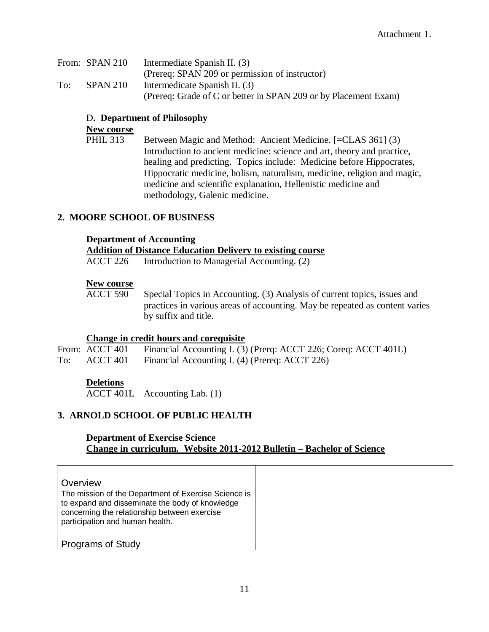|     | From: SPAN 210  | Intermediate Spanish II. (3)                                    |
|-----|-----------------|-----------------------------------------------------------------|
|     |                 | (Prereq: SPAN 209 or permission of instructor)                  |
| To: | <b>SPAN 210</b> | Intermedicate Spanish II. (3)                                   |
|     |                 | (Prereq: Grade of C or better in SPAN 209 or by Placement Exam) |

### D**. Department of Philosophy**

# **New course**

PHIL 313 Between Magic and Method: Ancient Medicine. [=CLAS 361] (3) Introduction to ancient medicine: science and art, theory and practice, healing and predicting. Topics include: Medicine before Hippocrates, Hippocratic medicine, holism, naturalism, medicine, religion and magic, medicine and scientific explanation, Hellenistic medicine and methodology, Galenic medicine.

# **2. MOORE SCHOOL OF BUSINESS**

#### **Department of Accounting**

#### **Addition of Distance Education Delivery to existing course**

ACCT 226 Introduction to Managerial Accounting. (2)

#### **New course**

ACCT 590 Special Topics in Accounting. (3) Analysis of current topics, issues and practices in various areas of accounting. May be repeated as content varies by suffix and title.

#### **Change in credit hours and corequisite**

|     | From: ACCT 401 Financial Accounting I. (3) (Prerq: ACCT 226; Coreq: ACCT 401L) |
|-----|--------------------------------------------------------------------------------|
| To: | ACCT 401 Financial Accounting I. (4) (Prereq: ACCT 226)                        |

#### **Deletions**

ACCT 401L Accounting Lab. (1)

# **3. ARNOLD SCHOOL OF PUBLIC HEALTH**

#### **Department of Exercise Science Change in curriculum. Website 2011-2012 Bulletin – Bachelor of Science**

| Overview<br>The mission of the Department of Exercise Science is<br>to expand and disseminate the body of knowledge<br>concerning the relationship between exercise<br>participation and human health. |  |
|--------------------------------------------------------------------------------------------------------------------------------------------------------------------------------------------------------|--|
| <b>Programs of Study</b>                                                                                                                                                                               |  |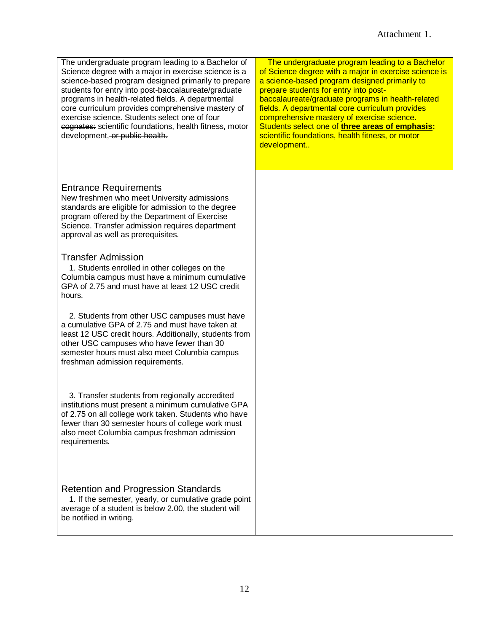The undergraduate program leading to a Bachelor of Science degree with a major in exercise science is a science-based program designed primarily to prepare students for entry into post-baccalaureate/graduate programs in health-related fields. A departmental core curriculum provides comprehensive mastery of exercise science. Students select one of four cognates: scientific foundations, health fitness, motor development, or public health.

# Entrance Requirements

New freshmen who meet University admissions standards are eligible for admission to the degree program offered by the Department of Exercise Science. Transfer admission requires department approval as well as prerequisites.

#### Transfer Admission

1. Students enrolled in other colleges on the Columbia campus must have a minimum cumulative GPA of 2.75 and must have at least 12 USC credit hours.

2. Students from other USC campuses must have a cumulative GPA of 2.75 and must have taken at least 12 USC credit hours. Additionally, students from other USC campuses who have fewer than 30 semester hours must also meet Columbia campus freshman admission requirements.

3. Transfer students from regionally accredited institutions must present a minimum cumulative GPA of 2.75 on all college work taken. Students who have fewer than 30 semester hours of college work must also meet Columbia campus freshman admission requirements.

#### Retention and Progression Standards

1. If the semester, yearly, or cumulative grade point average of a student is below 2.00, the student will be notified in writing.

The undergraduate program leading to a Bachelor of Science degree with a major in exercise science is a science-based program designed primarily to prepare students for entry into postbaccalaureate/graduate programs in health-related fields. A departmental core curriculum provides comprehensive mastery of exercise science. Students select one of **three areas of emphasis:** scientific foundations, health fitness, or motor development..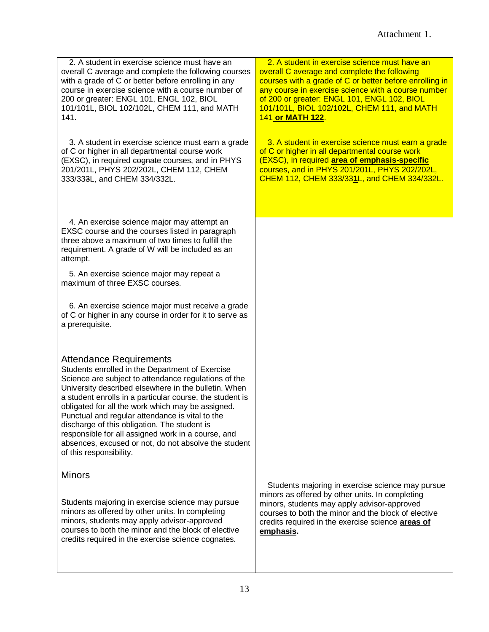2. A student in exercise science must have an overall C average and complete the following courses with a grade of C or better before enrolling in any course in exercise science with a course number of 200 or greater: ENGL 101, ENGL 102, BIOL 101/101L, BIOL 102/102L, CHEM 111, and MATH 141.

3. A student in exercise science must earn a grade of C or higher in all departmental course work (EXSC), in required cognate courses, and in PHYS 201/201L, PHYS 202/202L, CHEM 112, CHEM 333/333L, and CHEM 334/332L.

4. An exercise science major may attempt an EXSC course and the courses listed in paragraph three above a maximum of two times to fulfill the requirement. A grade of W will be included as an attempt.

5. An exercise science major may repeat a maximum of three EXSC courses.

6. An exercise science major must receive a grade of C or higher in any course in order for it to serve as a prerequisite.

# Attendance Requirements

Students enrolled in the Department of Exercise Science are subject to attendance regulations of the University described elsewhere in the bulletin. When a student enrolls in a particular course, the student is obligated for all the work which may be assigned. Punctual and regular attendance is vital to the discharge of this obligation. The student is responsible for all assigned work in a course, and absences, excused or not, do not absolve the student of this responsibility.

# **Minors**

Students majoring in exercise science may pursue minors as offered by other units. In completing minors, students may apply advisor-approved courses to both the minor and the block of elective credits required in the exercise science cognates.

2. A student in exercise science must have an overall C average and complete the following courses with a grade of C or better before enrolling in any course in exercise science with a course number of 200 or greater: ENGL 101, ENGL 102, BIOL 101/101L, BIOL 102/102L, CHEM 111, and MATH 141 **or MATH 122**.

3. A student in exercise science must earn a grade of C or higher in all departmental course work (EXSC), in required **area of emphasis-specific**  courses, and in PHYS 201/201L, PHYS 202/202L, CHEM 112, CHEM 333/33**1**L, and CHEM 334/332L.

Students majoring in exercise science may pursue minors as offered by other units. In completing minors, students may apply advisor-approved courses to both the minor and the block of elective credits required in the exercise science **areas of emphasis.**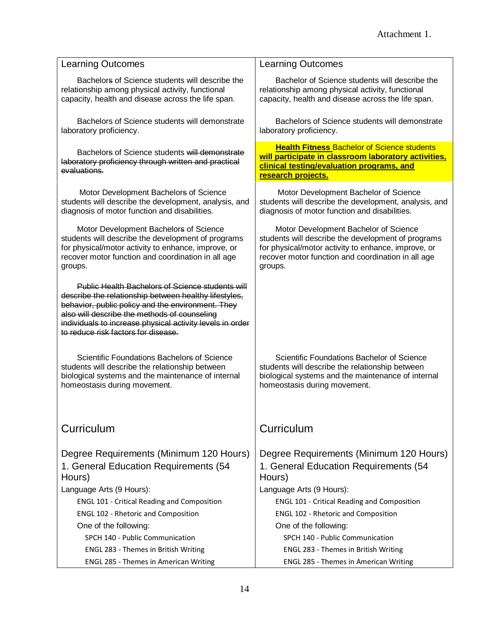| <b>Learning Outcomes</b>                                                                                                                                                                                                                                                                                           | <b>Learning Outcomes</b>                                                                                                                                                                                            |
|--------------------------------------------------------------------------------------------------------------------------------------------------------------------------------------------------------------------------------------------------------------------------------------------------------------------|---------------------------------------------------------------------------------------------------------------------------------------------------------------------------------------------------------------------|
| Bachelors of Science students will describe the<br>relationship among physical activity, functional<br>capacity, health and disease across the life span.                                                                                                                                                          | Bachelor of Science students will describe the<br>relationship among physical activity, functional<br>capacity, health and disease across the life span.                                                            |
| Bachelors of Science students will demonstrate<br>laboratory proficiency.                                                                                                                                                                                                                                          | Bachelors of Science students will demonstrate<br>laboratory proficiency.                                                                                                                                           |
| Bachelors of Science students will demonstrate<br>laboratory proficiency through written and practical<br>evaluations.                                                                                                                                                                                             | <b>Health Fitness Bachelor of Science students</b><br>will participate in classroom laboratory activities,<br>clinical testing/evaluation programs, and<br>research projects.                                       |
| Motor Development Bachelors of Science<br>students will describe the development, analysis, and<br>diagnosis of motor function and disabilities.                                                                                                                                                                   | Motor Development Bachelor of Science<br>students will describe the development, analysis, and<br>diagnosis of motor function and disabilities.                                                                     |
| Motor Development Bachelors of Science<br>students will describe the development of programs<br>for physical/motor activity to enhance, improve, or<br>recover motor function and coordination in all age<br>groups.                                                                                               | Motor Development Bachelor of Science<br>students will describe the development of programs<br>for physical/motor activity to enhance, improve, or<br>recover motor function and coordination in all age<br>groups. |
| Public Health Bachelors of Science students will<br>describe the relationship between healthy lifestyles,<br>behavior, public policy and the environment. They<br>also will describe the methods of counseling<br>individuals to increase physical activity levels in order<br>to reduce risk factors for disease. |                                                                                                                                                                                                                     |
| Scientific Foundations Bachelors of Science<br>students will describe the relationship between<br>biological systems and the maintenance of internal<br>homeostasis during movement.                                                                                                                               | Scientific Foundations Bachelor of Science<br>students will describe the relationship between<br>biological systems and the maintenance of internal<br>homeostasis during movement.                                 |
| Curriculum                                                                                                                                                                                                                                                                                                         | Curriculum                                                                                                                                                                                                          |
| Degree Requirements (Minimum 120 Hours)<br>1. General Education Requirements (54<br>Hours)                                                                                                                                                                                                                         | Degree Requirements (Minimum 120 Hours)<br>1. General Education Requirements (54<br>Hours)                                                                                                                          |
| Language Arts (9 Hours):                                                                                                                                                                                                                                                                                           | Language Arts (9 Hours):                                                                                                                                                                                            |
| <b>ENGL 101 - Critical Reading and Composition</b>                                                                                                                                                                                                                                                                 | <b>ENGL 101 - Critical Reading and Composition</b>                                                                                                                                                                  |
| <b>ENGL 102 - Rhetoric and Composition</b>                                                                                                                                                                                                                                                                         | <b>ENGL 102 - Rhetoric and Composition</b>                                                                                                                                                                          |
| One of the following:                                                                                                                                                                                                                                                                                              | One of the following:                                                                                                                                                                                               |
| SPCH 140 - Public Communication                                                                                                                                                                                                                                                                                    | SPCH 140 - Public Communication                                                                                                                                                                                     |
| ENGL 283 - Themes in British Writing                                                                                                                                                                                                                                                                               | ENGL 283 - Themes in British Writing                                                                                                                                                                                |
| ENGL 285 - Themes in American Writing                                                                                                                                                                                                                                                                              | ENGL 285 - Themes in American Writing                                                                                                                                                                               |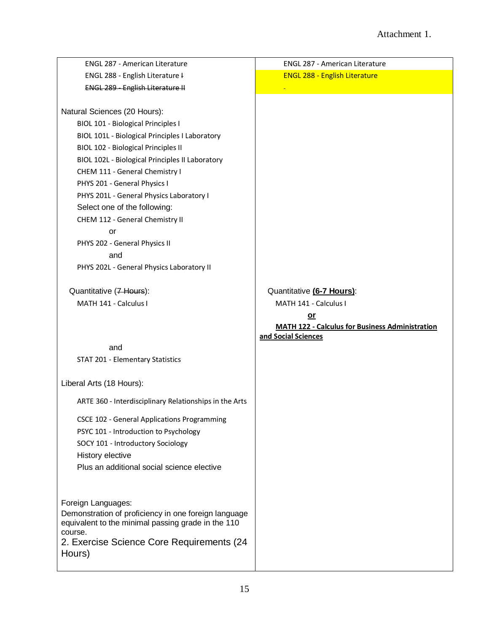| <b>ENGL 287 - American Literature</b>                  | <b>ENGL 287 - American Literature</b>                  |
|--------------------------------------------------------|--------------------------------------------------------|
| ENGL 288 - English Literature I                        | <b>ENGL 288 - English Literature</b>                   |
| <b>ENGL 289 - English Literature II</b>                |                                                        |
|                                                        |                                                        |
| Natural Sciences (20 Hours):                           |                                                        |
| <b>BIOL 101 - Biological Principles I</b>              |                                                        |
| BIOL 101L - Biological Principles I Laboratory         |                                                        |
| <b>BIOL 102 - Biological Principles II</b>             |                                                        |
| BIOL 102L - Biological Principles II Laboratory        |                                                        |
| CHEM 111 - General Chemistry I                         |                                                        |
| PHYS 201 - General Physics I                           |                                                        |
| PHYS 201L - General Physics Laboratory I               |                                                        |
| Select one of the following:                           |                                                        |
| CHEM 112 - General Chemistry II                        |                                                        |
| or                                                     |                                                        |
| PHYS 202 - General Physics II                          |                                                        |
| and                                                    |                                                        |
| PHYS 202L - General Physics Laboratory II              |                                                        |
|                                                        |                                                        |
| Quantitative (7 Hours):                                | Quantitative (6-7 Hours):                              |
| MATH 141 - Calculus I                                  | MATH 141 - Calculus I                                  |
|                                                        | or                                                     |
|                                                        | <b>MATH 122 - Calculus for Business Administration</b> |
|                                                        | and Social Sciences                                    |
| and                                                    |                                                        |
| STAT 201 - Elementary Statistics                       |                                                        |
| Liberal Arts (18 Hours):                               |                                                        |
| ARTE 360 - Interdisciplinary Relationships in the Arts |                                                        |
| <b>CSCE 102 - General Applications Programming</b>     |                                                        |
| PSYC 101 - Introduction to Psychology                  |                                                        |
| SOCY 101 - Introductory Sociology                      |                                                        |
| History elective                                       |                                                        |
| Plus an additional social science elective             |                                                        |
|                                                        |                                                        |
|                                                        |                                                        |
|                                                        |                                                        |
| Foreign Languages:                                     |                                                        |
| Demonstration of proficiency in one foreign language   |                                                        |
| equivalent to the minimal passing grade in the 110     |                                                        |
| course.                                                |                                                        |
| 2. Exercise Science Core Requirements (24<br>Hours)    |                                                        |
|                                                        |                                                        |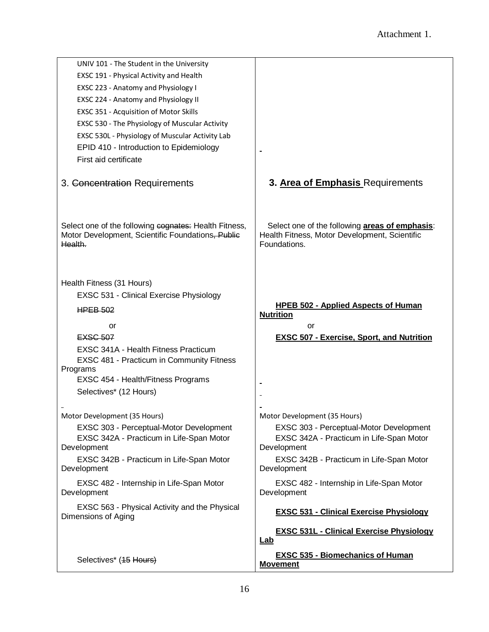| UNIV 101 - The Student in the University<br>EXSC 191 - Physical Activity and Health                                   |                                                                                                                 |
|-----------------------------------------------------------------------------------------------------------------------|-----------------------------------------------------------------------------------------------------------------|
| EXSC 223 - Anatomy and Physiology I                                                                                   |                                                                                                                 |
| EXSC 224 - Anatomy and Physiology II                                                                                  |                                                                                                                 |
|                                                                                                                       |                                                                                                                 |
| EXSC 351 - Acquisition of Motor Skills                                                                                |                                                                                                                 |
| EXSC 530 - The Physiology of Muscular Activity                                                                        |                                                                                                                 |
| EXSC 530L - Physiology of Muscular Activity Lab                                                                       |                                                                                                                 |
| EPID 410 - Introduction to Epidemiology                                                                               |                                                                                                                 |
| First aid certificate                                                                                                 |                                                                                                                 |
| 3. Concentration Requirements                                                                                         | 3. Area of Emphasis Requirements                                                                                |
| Select one of the following cognates: Health Fitness,<br>Motor Development, Scientific Foundations, Public<br>Health. | Select one of the following areas of emphasis:<br>Health Fitness, Motor Development, Scientific<br>Foundations. |
| Health Fitness (31 Hours)                                                                                             |                                                                                                                 |
| <b>EXSC 531 - Clinical Exercise Physiology</b>                                                                        |                                                                                                                 |
|                                                                                                                       | <b>HPEB 502 - Applied Aspects of Human</b>                                                                      |
| HPEB 502                                                                                                              | <b>Nutrition</b>                                                                                                |
| or                                                                                                                    | or                                                                                                              |
| <b>EXSC 507</b>                                                                                                       | <b>EXSC 507 - Exercise, Sport, and Nutrition</b>                                                                |
| EXSC 341A - Health Fitness Practicum                                                                                  |                                                                                                                 |
| EXSC 481 - Practicum in Community Fitness                                                                             |                                                                                                                 |
| Programs                                                                                                              |                                                                                                                 |
| EXSC 454 - Health/Fitness Programs                                                                                    |                                                                                                                 |
| Selectives* (12 Hours)                                                                                                |                                                                                                                 |
|                                                                                                                       |                                                                                                                 |
| Motor Development (35 Hours)                                                                                          | Motor Development (35 Hours)                                                                                    |
| EXSC 303 - Perceptual-Motor Development                                                                               | EXSC 303 - Perceptual-Motor Development                                                                         |
| EXSC 342A - Practicum in Life-Span Motor<br>Development                                                               | EXSC 342A - Practicum in Life-Span Motor<br>Development                                                         |
| EXSC 342B - Practicum in Life-Span Motor<br>Development                                                               | EXSC 342B - Practicum in Life-Span Motor<br>Development                                                         |
| EXSC 482 - Internship in Life-Span Motor<br>Development                                                               | EXSC 482 - Internship in Life-Span Motor<br>Development                                                         |
| EXSC 563 - Physical Activity and the Physical<br>Dimensions of Aging                                                  | <b>EXSC 531 - Clinical Exercise Physiology</b>                                                                  |
|                                                                                                                       | <b>EXSC 531L - Clinical Exercise Physiology</b><br><u>Lab</u>                                                   |
| Selectives* (15 Hours)                                                                                                | <b>EXSC 535 - Biomechanics of Human</b><br><b>Movement</b>                                                      |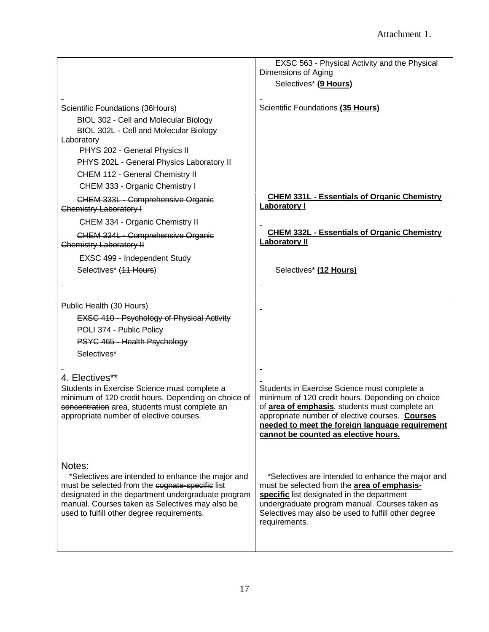|                                                                                                                                                                                                                                                                       | EXSC 563 - Physical Activity and the Physical                                                                                                                                                                                                                                                                   |
|-----------------------------------------------------------------------------------------------------------------------------------------------------------------------------------------------------------------------------------------------------------------------|-----------------------------------------------------------------------------------------------------------------------------------------------------------------------------------------------------------------------------------------------------------------------------------------------------------------|
|                                                                                                                                                                                                                                                                       | Dimensions of Aging                                                                                                                                                                                                                                                                                             |
|                                                                                                                                                                                                                                                                       | Selectives* (9 Hours)                                                                                                                                                                                                                                                                                           |
| Scientific Foundations (36Hours)<br>BIOL 302 - Cell and Molecular Biology                                                                                                                                                                                             | Scientific Foundations (35 Hours)                                                                                                                                                                                                                                                                               |
| BIOL 302L - Cell and Molecular Biology                                                                                                                                                                                                                                |                                                                                                                                                                                                                                                                                                                 |
| Laboratory                                                                                                                                                                                                                                                            |                                                                                                                                                                                                                                                                                                                 |
| PHYS 202 - General Physics II                                                                                                                                                                                                                                         |                                                                                                                                                                                                                                                                                                                 |
| PHYS 202L - General Physics Laboratory II                                                                                                                                                                                                                             |                                                                                                                                                                                                                                                                                                                 |
| CHEM 112 - General Chemistry II                                                                                                                                                                                                                                       |                                                                                                                                                                                                                                                                                                                 |
| CHEM 333 - Organic Chemistry I                                                                                                                                                                                                                                        |                                                                                                                                                                                                                                                                                                                 |
| CHEM 333L - Comprehensive Organic<br>Chemistry Laboratory I                                                                                                                                                                                                           | <b>CHEM 331L - Essentials of Organic Chemistry</b><br><b>Laboratory I</b>                                                                                                                                                                                                                                       |
| CHEM 334 - Organic Chemistry II                                                                                                                                                                                                                                       |                                                                                                                                                                                                                                                                                                                 |
| CHEM 334L - Comprehensive Organic<br>Chemistry Laboratory II                                                                                                                                                                                                          | <b>CHEM 332L - Essentials of Organic Chemistry</b><br><b>Laboratory II</b>                                                                                                                                                                                                                                      |
| EXSC 499 - Independent Study                                                                                                                                                                                                                                          |                                                                                                                                                                                                                                                                                                                 |
| Selectives* (44 Hours)                                                                                                                                                                                                                                                | Selectives* (12 Hours)                                                                                                                                                                                                                                                                                          |
|                                                                                                                                                                                                                                                                       |                                                                                                                                                                                                                                                                                                                 |
| Public Health (30 Hours)                                                                                                                                                                                                                                              |                                                                                                                                                                                                                                                                                                                 |
| <b>EXSC 410 - Psychology of Physical Activity</b>                                                                                                                                                                                                                     |                                                                                                                                                                                                                                                                                                                 |
| POLI 374 - Public Policy                                                                                                                                                                                                                                              |                                                                                                                                                                                                                                                                                                                 |
| PSYC 465 - Health Psychology                                                                                                                                                                                                                                          |                                                                                                                                                                                                                                                                                                                 |
| Selectives*                                                                                                                                                                                                                                                           |                                                                                                                                                                                                                                                                                                                 |
|                                                                                                                                                                                                                                                                       |                                                                                                                                                                                                                                                                                                                 |
| 4. Electives**                                                                                                                                                                                                                                                        |                                                                                                                                                                                                                                                                                                                 |
| Students in Exercise Science must complete a<br>minimum of 120 credit hours. Depending on choice of<br>concentration area, students must complete an<br>appropriate number of elective courses.                                                                       | Students in Exercise Science must complete a<br>minimum of 120 credit hours. Depending on choice<br>of <b>area of emphasis</b> , students must complete an<br>appropriate number of elective courses. <b>Courses</b><br>needed to meet the foreign language requirement<br>cannot be counted as elective hours. |
| Notes:<br>*Selectives are intended to enhance the major and<br>must be selected from the cognate-specific list<br>designated in the department undergraduate program<br>manual. Courses taken as Selectives may also be<br>used to fulfill other degree requirements. | *Selectives are intended to enhance the major and<br>must be selected from the <b>area of emphasis-</b><br>specific list designated in the department<br>undergraduate program manual. Courses taken as<br>Selectives may also be used to fulfill other degree<br>requirements.                                 |